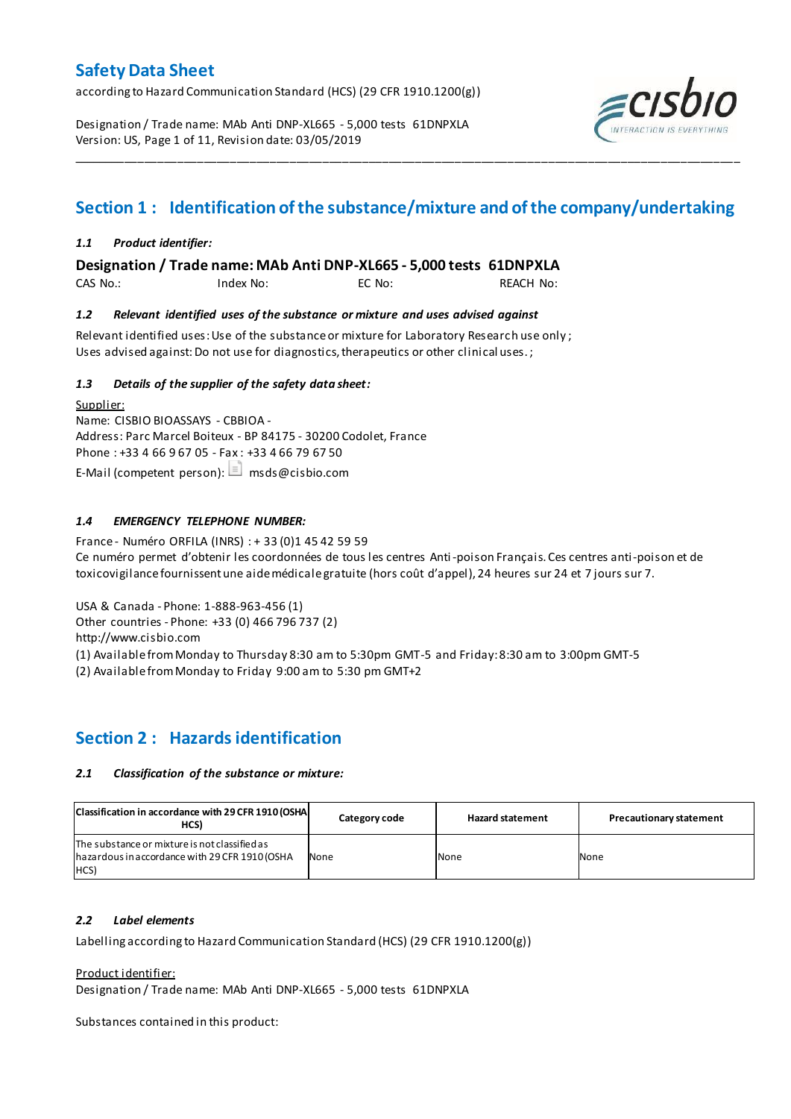according to Hazard Communication Standard (HCS) (29 CFR 1910.1200(g))

Designation / Trade name: MAb Anti DNP-XL665 - 5,000 tests 61DNPXLA Version: US, Page 1 of 11, Revision date: 03/05/2019



# **Section 1 : Identification of the substance/mixture and of the company/undertaking**

\_\_\_\_\_\_\_\_\_\_\_\_\_\_\_\_\_\_\_\_\_\_\_\_\_\_\_\_\_\_\_\_\_\_\_\_\_\_\_\_\_\_\_\_\_\_\_\_\_\_\_\_\_\_\_\_\_\_\_\_\_\_\_\_\_\_\_\_\_\_\_\_\_\_\_\_\_\_\_\_\_\_\_\_\_\_\_\_\_\_\_\_\_\_\_\_\_\_\_\_\_

## *1.1 Product identifier:*

**Designation / Trade name: MAb Anti DNP-XL665 - 5,000 tests 61DNPXLA** 

CAS No.: Index No: EC No: REACH No:

### *1.2 Relevant identified uses of the substance or mixture and uses advised against*

Relevant identified uses:Use of the substance or mixture for Laboratory Research use only ; Uses advised against: Do not use for diagnostics, therapeutics or other clinical uses.;

## *1.3 Details of the supplier of the safety data sheet:*

Supplier: Name: CISBIO BIOASSAYS - CBBIOA - Address: Parc Marcel Boiteux - BP 84175 - 30200 Codolet, France Phone : +33 4 66 9 67 05 - Fax : +33 4 66 79 67 50 E-Mail (competent person):  $\Box$  msds@cisbio.com

## *1.4 EMERGENCY TELEPHONE NUMBER:*

France - Numéro ORFILA (INRS) : + 33 (0)1 45 42 59 59 Ce numéro permet d'obtenir les coordonnées de tous les centres Anti-poison Français. Ces centres anti-poison et de toxicovigilance fournissent une aide médicale gratuite (hors coût d'appel), 24 heures sur 24 et 7 jours sur 7.

USA & Canada - Phone: 1-888-963-456 (1) Other countries - Phone: +33 (0) 466 796 737 (2)

http://www.cisbio.com

(1) Available from Monday to Thursday 8:30 am to 5:30pm GMT-5 and Friday: 8:30 am to 3:00pm GMT-5

(2) Available from Monday to Friday 9:00 am to 5:30 pm GMT+2

## **Section 2 : Hazards identification**

### *2.1 Classification of the substance or mixture:*

| Classification in accordance with 29 CFR 1910 (OSHA<br>HCS)                                             | Category code | <b>Hazard statement</b> | <b>Precautionary statement</b> |
|---------------------------------------------------------------------------------------------------------|---------------|-------------------------|--------------------------------|
| The substance or mixture is not classified as<br>hazardous in accordance with 29 CFR 1910 (OSHA<br>HCS) | None          | None                    | None                           |

### *2.2 Label elements*

Labelling according to Hazard Communication Standard (HCS) (29 CFR 1910.1200(g))

Product identifier:

Designation / Trade name: MAb Anti DNP-XL665 - 5,000 tests 61DNPXLA

Substances contained in this product: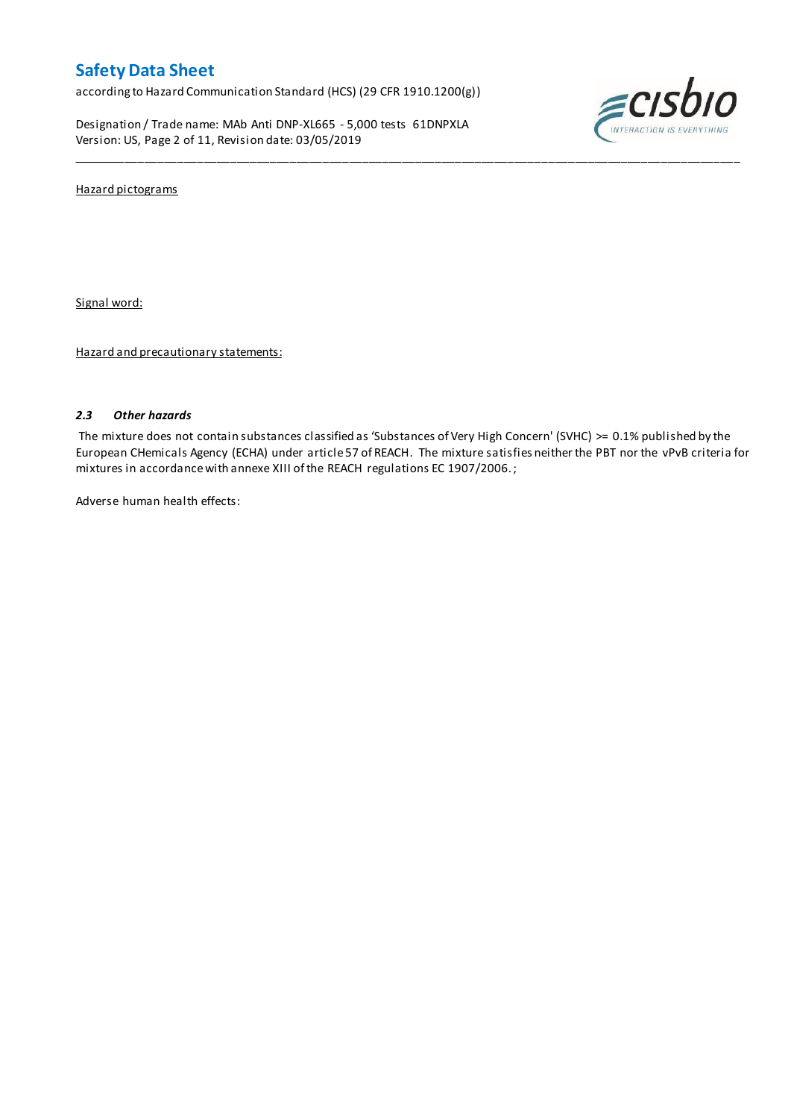according to Hazard Communication Standard (HCS) (29 CFR 1910.1200(g))

Designation / Trade name: MAb Anti DNP-XL665 - 5,000 tests 61DNPXLA Version: US, Page 2 of 11, Revision date: 03/05/2019



Hazard pictograms

Signal word:

Hazard and precautionary statements:

### *2.3 Other hazards*

The mixture does not contain substances classified as 'Substances of Very High Concern' (SVHC) >= 0.1% published by the European CHemicals Agency (ECHA) under article 57 of REACH. The mixture satisfies neither the PBT nor the vPvB criteria for mixtures in accordance with annexe XIII of the REACH regulations EC 1907/2006. ;

\_\_\_\_\_\_\_\_\_\_\_\_\_\_\_\_\_\_\_\_\_\_\_\_\_\_\_\_\_\_\_\_\_\_\_\_\_\_\_\_\_\_\_\_\_\_\_\_\_\_\_\_\_\_\_\_\_\_\_\_\_\_\_\_\_\_\_\_\_\_\_\_\_\_\_\_\_\_\_\_\_\_\_\_\_\_\_\_\_\_\_\_\_\_\_\_\_\_\_\_\_

Adverse human health effects: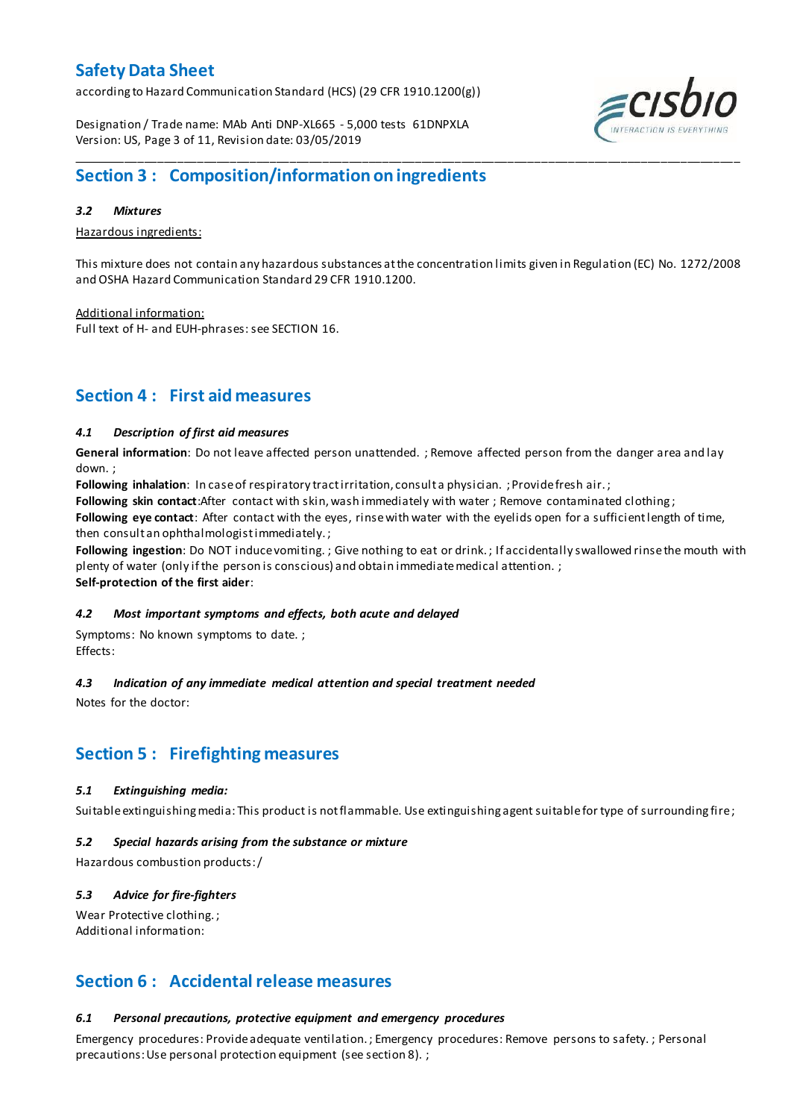according to Hazard Communication Standard (HCS) (29 CFR 1910.1200(g))

Designation / Trade name: MAb Anti DNP-XL665 - 5,000 tests 61DNPXLA Version: US, Page 3 of 11, Revision date: 03/05/2019



### *3.2 Mixtures*

Hazardous ingredients:

This mixture does not contain any hazardous substances at the concentration limits given in Regulation (EC) No. 1272/2008 and OSHA Hazard Communication Standard 29 CFR 1910.1200.

\_\_\_\_\_\_\_\_\_\_\_\_\_\_\_\_\_\_\_\_\_\_\_\_\_\_\_\_\_\_\_\_\_\_\_\_\_\_\_\_\_\_\_\_\_\_\_\_\_\_\_\_\_\_\_\_\_\_\_\_\_\_\_\_\_\_\_\_\_\_\_\_\_\_\_\_\_\_\_\_\_\_\_\_\_\_\_\_\_\_\_\_\_\_\_\_\_\_\_\_\_

Additional information: Full text of H- and EUH-phrases: see SECTION 16.

## **Section 4 : First aid measures**

## *4.1 Description of first aid measures*

**General information**: Do not leave affected person unattended. ; Remove affected person from the danger area and lay down. ;

**Following inhalation**: In case of respiratory tract irritation, consult a physician. ; Provide fresh air. ;

**Following skin contact**:After contact with skin, wash immediately with water ; Remove contaminated clothing ;

**Following eye contact**: After contact with the eyes, rinse with water with the eyelids open for a sufficient length of time, then consult an ophthalmologist immediately. ;

**Following ingestion**: Do NOT induce vomiting. ; Give nothing to eat or drink. ; If accidentally swallowed rinse the mouth with plenty of water (only if the person is conscious) and obtain immediate medical attention. ; **Self-protection of the first aider**:

### *4.2 Most important symptoms and effects, both acute and delayed*

Symptoms: No known symptoms to date. ; Effects:

## *4.3 Indication of any immediate medical attention and special treatment needed*

Notes for the doctor:

## **Section 5 : Firefighting measures**

## *5.1 Extinguishing media:*

Suitable extinguishing media: This product is not flammable. Use extinguishing agent suitable for type of surrounding fire ;

### *5.2 Special hazards arising from the substance or mixture*

Hazardous combustion products:/

## *5.3 Advice for fire-fighters*

Wear Protective clothing.; Additional information:

## **Section 6 : Accidental release measures**

## *6.1 Personal precautions, protective equipment and emergency procedures*

Emergency procedures: Provide adequate ventilation. ; Emergency procedures: Remove persons to safety. ; Personal precautions: Use personal protection equipment (see section 8). ;

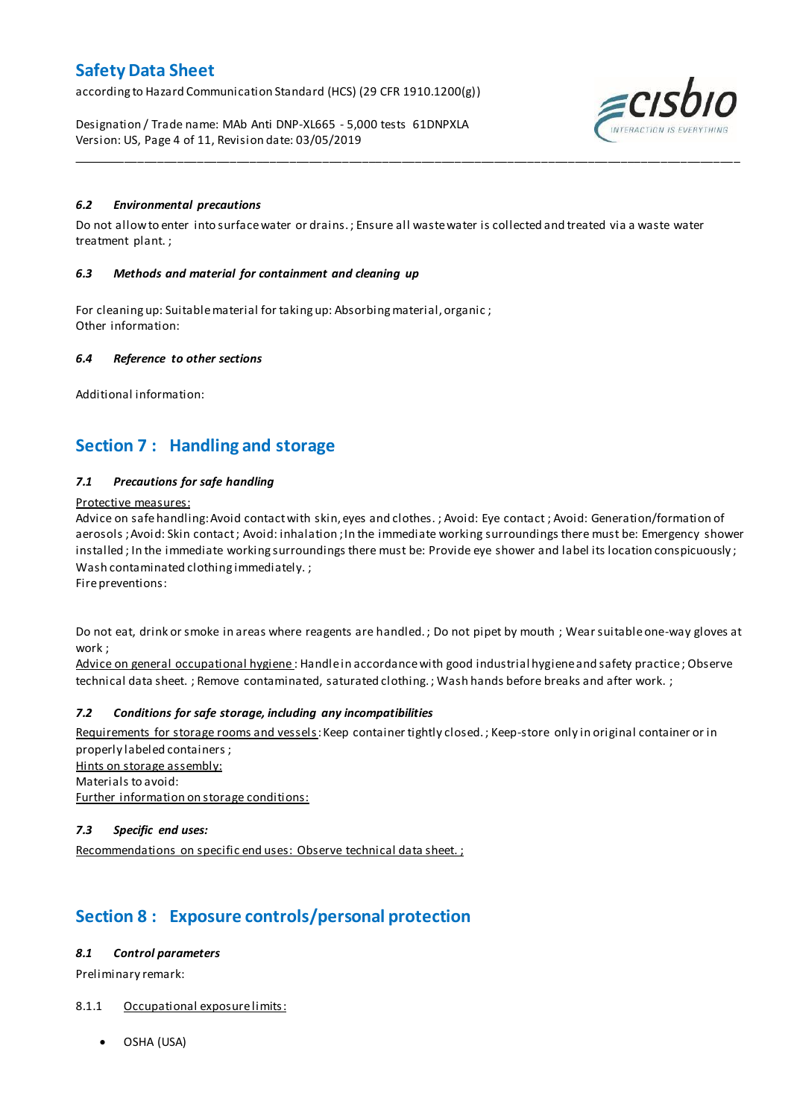according to Hazard Communication Standard (HCS) (29 CFR 1910.1200(g))

Designation / Trade name: MAb Anti DNP-XL665 - 5,000 tests 61DNPXLA Version: US, Page 4 of 11, Revision date: 03/05/2019



## *6.2 Environmental precautions*

Do not allow to enter into surface water or drains. ; Ensure all waste water is collected and treated via a waste water treatment plant. ;

\_\_\_\_\_\_\_\_\_\_\_\_\_\_\_\_\_\_\_\_\_\_\_\_\_\_\_\_\_\_\_\_\_\_\_\_\_\_\_\_\_\_\_\_\_\_\_\_\_\_\_\_\_\_\_\_\_\_\_\_\_\_\_\_\_\_\_\_\_\_\_\_\_\_\_\_\_\_\_\_\_\_\_\_\_\_\_\_\_\_\_\_\_\_\_\_\_\_\_\_\_

### *6.3 Methods and material for containment and cleaning up*

For cleaning up: Suitable material for taking up: Absorbing material, organic ; Other information:

### *6.4 Reference to other sections*

Additional information:

## **Section 7 : Handling and storage**

### *7.1 Precautions for safe handling*

### Protective measures:

Advice on safe handling:Avoid contact with skin, eyes and clothes. ; Avoid: Eye contact ; Avoid: Generation/formation of aerosols ; Avoid: Skin contact ; Avoid: inhalation ; In the immediate working surroundings there must be: Emergency shower installed; In the immediate working surroundings there must be: Provide eye shower and label its location conspicuously; Wash contaminated clothing immediately. ;

Fire preventions:

Do not eat, drink or smoke in areas where reagents are handled. ; Do not pipet by mouth ; Wear suitable one-way gloves at work ;

Advice on general occupational hygiene: Handle in accordance with good industrial hygiene and safety practice; Observe technical data sheet. ; Remove contaminated, saturated clothing. ; Wash hands before breaks and after work. ;

### *7.2 Conditions for safe storage, including any incompatibilities*

Requirements for storage rooms and vessels: Keep container tightly closed.; Keep-store only in original container or in properly labeled containers ; Hints on storage assembly: Materials to avoid: Further information on storage conditions:

### *7.3 Specific end uses:*

Recommendations on specific end uses: Observe technical data sheet. ;

# **Section 8 : Exposure controls/personal protection**

### *8.1 Control parameters*

Preliminary remark:

## 8.1.1 Occupational exposure limits:

OSHA (USA)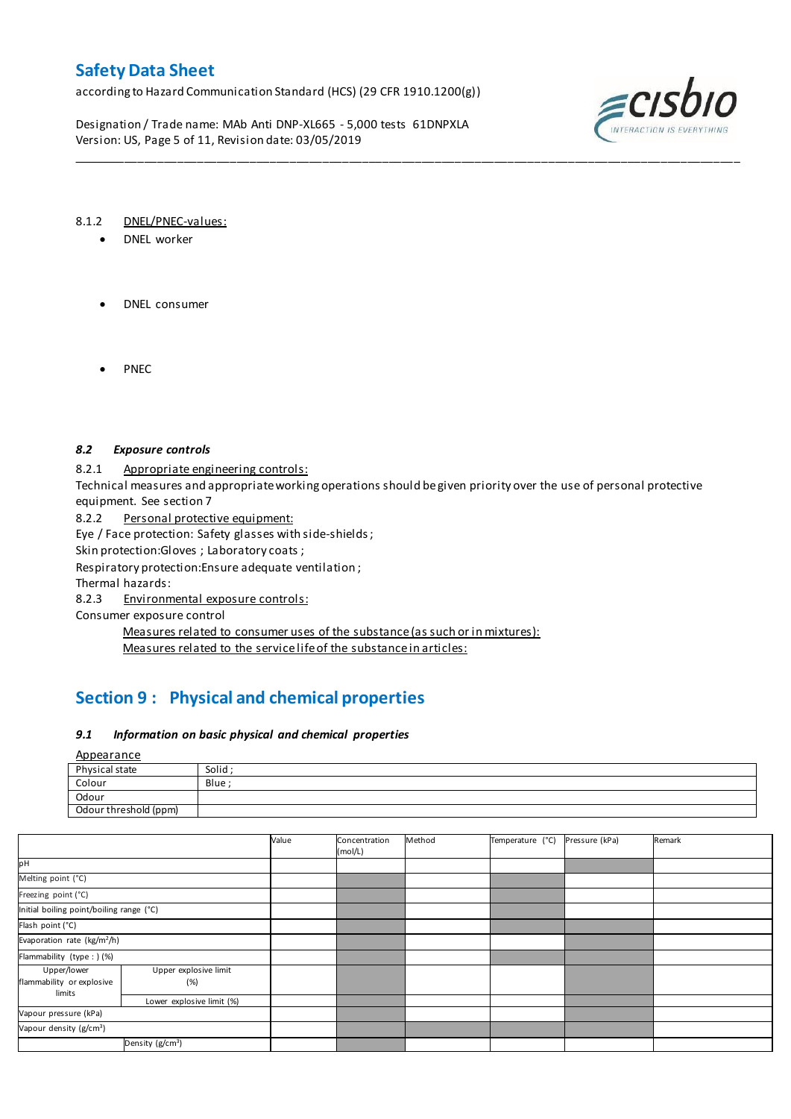according to Hazard Communication Standard (HCS) (29 CFR 1910.1200(g))

Designation / Trade name: MAb Anti DNP-XL665 - 5,000 tests 61DNPXLA Version: US, Page 5 of 11, Revision date: 03/05/2019



### 8.1.2 DNEL/PNEC-values:

- DNEL worker
- DNEL consumer
- PNEC

### *8.2 Exposure controls*

8.2.1 Appropriate engineering controls:

Technical measures and appropriate working operations should be given priority over the use of personal protective equipment. See section 7

\_\_\_\_\_\_\_\_\_\_\_\_\_\_\_\_\_\_\_\_\_\_\_\_\_\_\_\_\_\_\_\_\_\_\_\_\_\_\_\_\_\_\_\_\_\_\_\_\_\_\_\_\_\_\_\_\_\_\_\_\_\_\_\_\_\_\_\_\_\_\_\_\_\_\_\_\_\_\_\_\_\_\_\_\_\_\_\_\_\_\_\_\_\_\_\_\_\_\_\_\_

8.2.2 Personal protective equipment:

Eye / Face protection: Safety glasses with side-shields ;

Skin protection: Gloves ; Laboratory coats ;

Respiratory protection:Ensure adequate ventilation ;

Thermal hazards:

8.2.3 Environmental exposure controls:

Consumer exposure control

Measures related to consumer uses of the substance (as such or in mixtures): Measures related to the service life of the substance in articles:

# **Section 9 : Physical and chemical properties**

## *9.1 Information on basic physical and chemical properties*

Appearance

| ___                   |       |
|-----------------------|-------|
| Physical state        | Solid |
| Colour                | Blue  |
| Odour                 |       |
| Odour threshold (ppm) |       |

|                                                    |                              | Value | Concentration<br>(mol/L) | Method | Temperature (°C) | Pressure (kPa) | Remark |
|----------------------------------------------------|------------------------------|-------|--------------------------|--------|------------------|----------------|--------|
| pН                                                 |                              |       |                          |        |                  |                |        |
| Melting point (°C)                                 |                              |       |                          |        |                  |                |        |
| Freezing point (°C)                                |                              |       |                          |        |                  |                |        |
| Initial boiling point/boiling range (°C)           |                              |       |                          |        |                  |                |        |
| Flash point (°C)                                   |                              |       |                          |        |                  |                |        |
| Evaporation rate (kg/m <sup>2</sup> /h)            |                              |       |                          |        |                  |                |        |
| Flammability (type : ) (%)                         |                              |       |                          |        |                  |                |        |
| Upper/lower<br>flammability or explosive<br>limits | Upper explosive limit<br>(%) |       |                          |        |                  |                |        |
|                                                    | Lower explosive limit (%)    |       |                          |        |                  |                |        |
| Vapour pressure (kPa)                              |                              |       |                          |        |                  |                |        |
| Vapour density (g/cm <sup>3</sup> )                |                              |       |                          |        |                  |                |        |
| Density (g/cm <sup>3</sup> )                       |                              |       |                          |        |                  |                |        |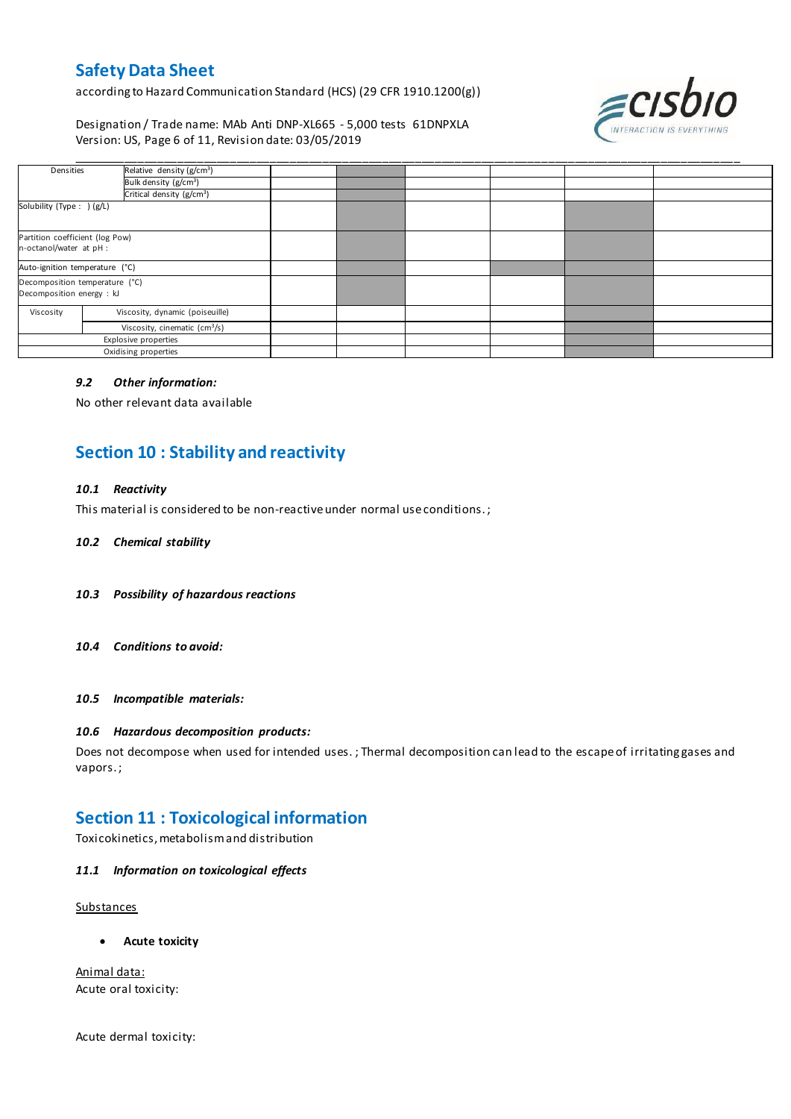according to Hazard Communication Standard (HCS) (29 CFR 1910.1200(g))

Designation / Trade name: MAb Anti DNP-XL665 - 5,000 tests 61DNPXLA Version: US, Page 6 of 11, Revision date: 03/05/2019



| Densities                                                   | Relative density ( $g/cm3$ )                  |  |  |  |
|-------------------------------------------------------------|-----------------------------------------------|--|--|--|
|                                                             | Bulk density (g/cm <sup>3</sup> )             |  |  |  |
|                                                             | Critical density (g/cm <sup>3</sup> )         |  |  |  |
| Solubility (Type: ) (g/L)                                   |                                               |  |  |  |
| Partition coefficient (log Pow)<br>n-octanol/water at pH :  |                                               |  |  |  |
| Auto-ignition temperature (°C)                              |                                               |  |  |  |
| Decomposition temperature (°C)<br>Decomposition energy : kJ |                                               |  |  |  |
| Viscosity                                                   | Viscosity, dynamic (poiseuille)               |  |  |  |
|                                                             | Viscosity, cinematic $\text{(cm}^3\text{/s)}$ |  |  |  |
| Explosive properties                                        |                                               |  |  |  |
| Oxidising properties                                        |                                               |  |  |  |

\_\_\_\_\_\_\_\_\_\_\_\_\_\_\_\_\_\_\_\_\_\_\_\_\_\_\_\_\_\_\_\_\_\_\_\_\_\_\_\_\_\_\_\_\_\_\_\_\_\_\_\_\_\_\_\_\_\_\_\_\_\_\_\_\_\_\_\_\_\_\_\_\_\_\_\_\_\_\_\_\_\_\_\_\_\_\_\_\_\_\_\_\_\_\_\_\_\_\_\_\_

### *9.2 Other information:*

No other relevant data available

# **Section 10 : Stability and reactivity**

### *10.1 Reactivity*

This material is considered to be non-reactive under normal use conditions. ;

### *10.2 Chemical stability*

- *10.3 Possibility of hazardous reactions*
- *10.4 Conditions to avoid:*

*10.5 Incompatible materials:*

### *10.6 Hazardous decomposition products:*

Does not decompose when used for intended uses. ; Thermal decomposition can lead to the escape of irritating gases and vapors. ;

## **Section 11 : Toxicological information**

Toxicokinetics, metabolism and distribution

### *11.1 Information on toxicological effects*

**Substances** 

**Acute toxicity**

Animal data: Acute oral toxicity:

Acute dermal toxicity: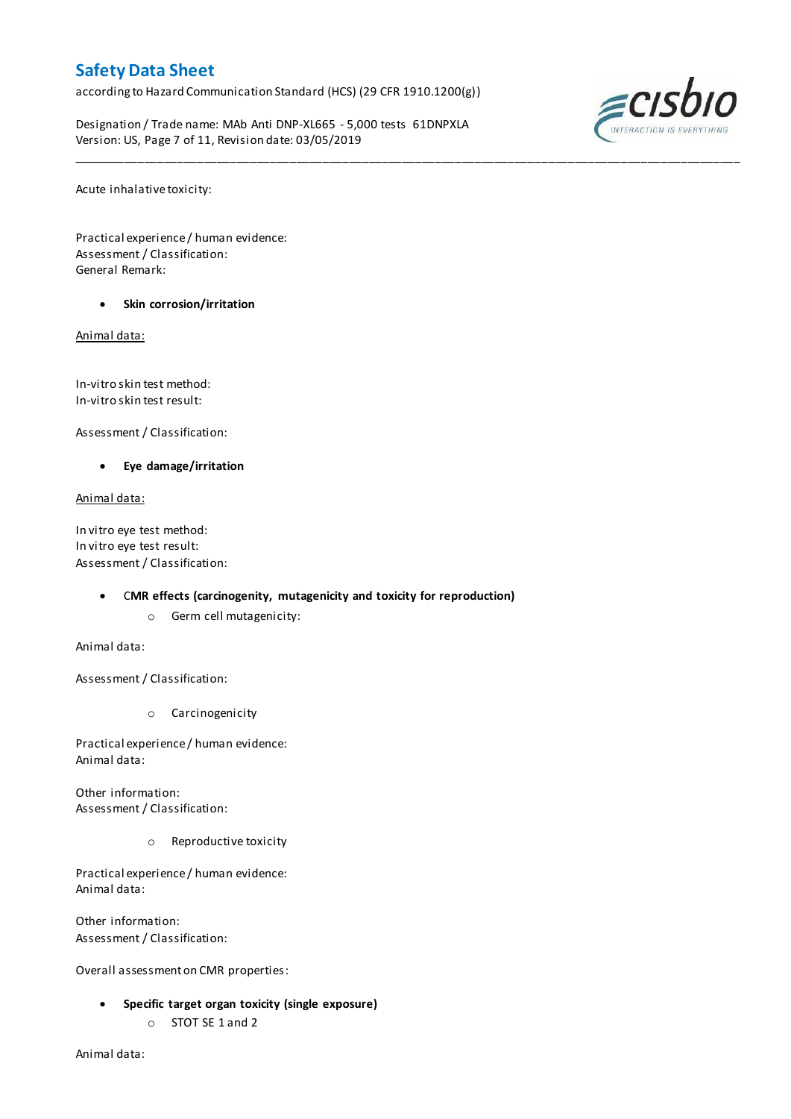according to Hazard Communication Standard (HCS) (29 CFR 1910.1200(g))

Designation / Trade name: MAb Anti DNP-XL665 - 5,000 tests 61DNPXLA Version: US, Page 7 of 11, Revision date: 03/05/2019

\_\_\_\_\_\_\_\_\_\_\_\_\_\_\_\_\_\_\_\_\_\_\_\_\_\_\_\_\_\_\_\_\_\_\_\_\_\_\_\_\_\_\_\_\_\_\_\_\_\_\_\_\_\_\_\_\_\_\_\_\_\_\_\_\_\_\_\_\_\_\_\_\_\_\_\_\_\_\_\_\_\_\_\_\_\_\_\_\_\_\_\_\_\_\_\_\_\_\_\_\_



Acute inhalative toxicity:

Practical experience / human evidence: Assessment / Classification: General Remark:

**Skin corrosion/irritation**

Animal data:

In-vitro skin test method: In-vitro skin test result:

Assessment / Classification:

**Eye damage/irritation**

Animal data:

In vitro eye test method: In vitro eye test result: Assessment / Classification:

### C**MR effects (carcinogenity, mutagenicity and toxicity for reproduction)**

o Germ cell mutagenicity:

Animal data:

Assessment / Classification:

o Carcinogenicity

Practical experience / human evidence: Animal data:

Other information: Assessment / Classification:

o Reproductive toxicity

Practical experience / human evidence: Animal data:

Other information: Assessment / Classification:

Overall assessment on CMR properties:

- **Specific target organ toxicity (single exposure)**
	- o STOT SE 1 and 2

Animal data: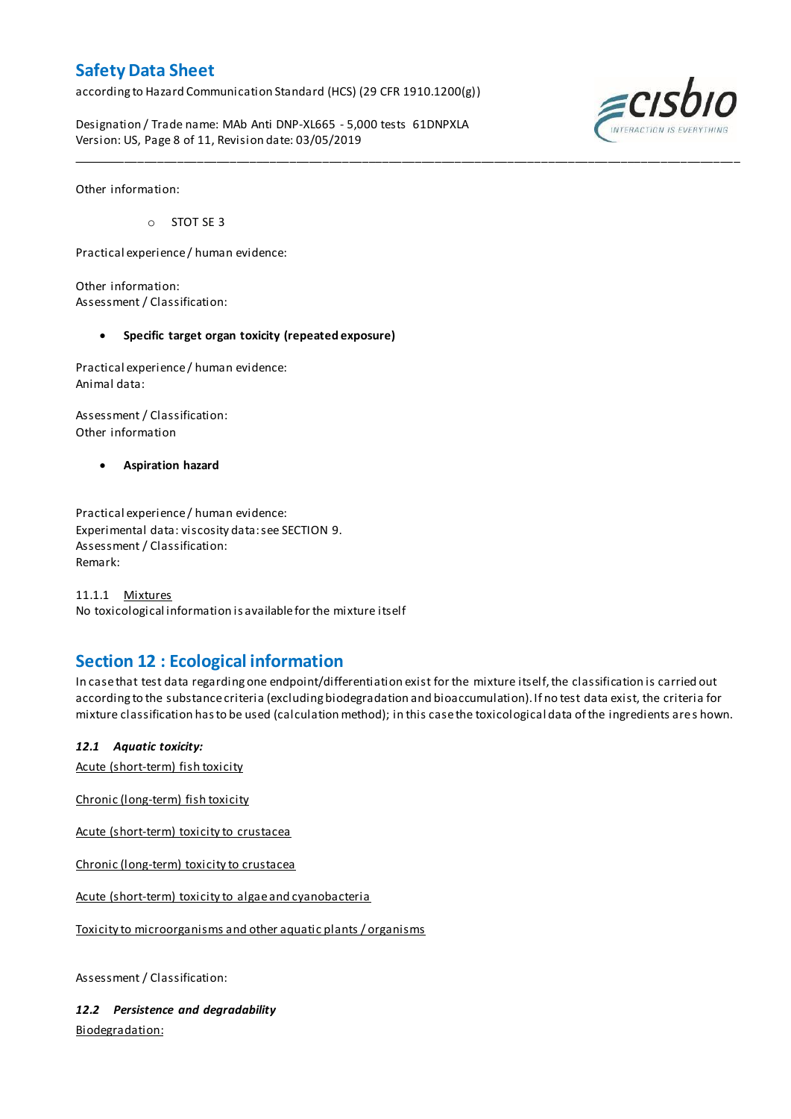according to Hazard Communication Standard (HCS) (29 CFR 1910.1200(g))

Designation / Trade name: MAb Anti DNP-XL665 - 5,000 tests 61DNPXLA Version: US, Page 8 of 11, Revision date: 03/05/2019



Other information:

o STOT SE 3

Practical experience / human evidence:

Other information: Assessment / Classification:

### **Specific target organ toxicity (repeated exposure)**

Practical experience / human evidence: Animal data:

Assessment / Classification: Other information

**Aspiration hazard**

Practical experience / human evidence: Experimental data: viscosity data: see SECTION 9. Assessment / Classification: Remark:

11.1.1 Mixtures No toxicological information is available for the mixture itself

## **Section 12 : Ecological information**

In case that test data regarding one endpoint/differentiation exist for the mixture itself, the classification is carried out according to the substance criteria (excluding biodegradation and bioaccumulation). If no test data exist, the criteria for mixture classification has to be used (calculation method); in this case the toxicological data of the ingredients are s hown.

\_\_\_\_\_\_\_\_\_\_\_\_\_\_\_\_\_\_\_\_\_\_\_\_\_\_\_\_\_\_\_\_\_\_\_\_\_\_\_\_\_\_\_\_\_\_\_\_\_\_\_\_\_\_\_\_\_\_\_\_\_\_\_\_\_\_\_\_\_\_\_\_\_\_\_\_\_\_\_\_\_\_\_\_\_\_\_\_\_\_\_\_\_\_\_\_\_\_\_\_\_

### *12.1 Aquatic toxicity:*

Acute (short-term) fish toxicity

Chronic (long-term) fish toxicity

Acute (short-term) toxicity to crustacea

Chronic (long-term) toxicity to crustacea

Acute (short-term) toxicity to algae and cyanobacteria

Toxicity to microorganisms and other aquatic plants / organisms

Assessment / Classification:

*12.2 Persistence and degradability* Biodegradation: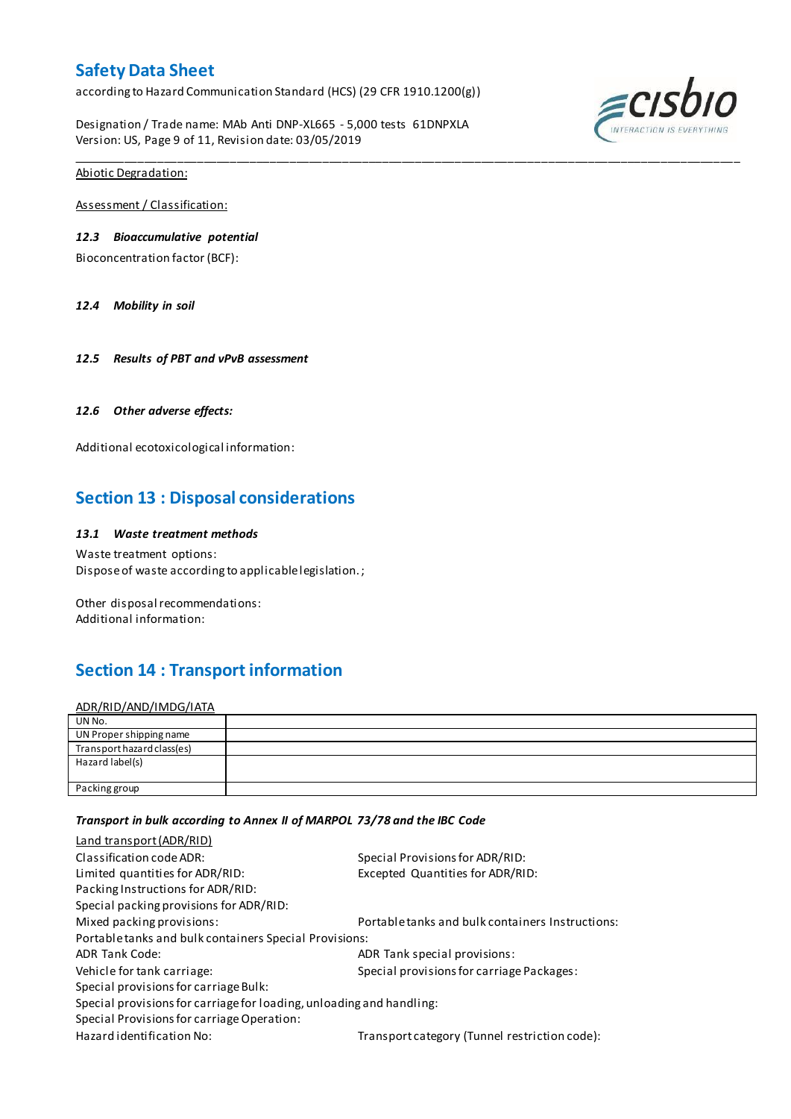according to Hazard Communication Standard (HCS) (29 CFR 1910.1200(g))

Designation / Trade name: MAb Anti DNP-XL665 - 5,000 tests 61DNPXLA Version: US, Page 9 of 11, Revision date: 03/05/2019



Abiotic Degradation:

Assessment / Classification:

### *12.3 Bioaccumulative potential*

Bioconcentration factor (BCF):

*12.4 Mobility in soil*

*12.5 Results of PBT and vPvB assessment*

### *12.6 Other adverse effects:*

Additional ecotoxicological information:

## **Section 13 : Disposal considerations**

### *13.1 Waste treatment methods*

Waste treatment options: Dispose of waste according to applicable legislation. ;

Other disposal recommendations: Additional information:

# **Section 14 : Transport information**

ADR/RID/AND/IMDG/IATA

| UN No.                     |  |
|----------------------------|--|
| UN Proper shipping name    |  |
| Transport hazard class(es) |  |
| Hazard label(s)            |  |
|                            |  |
| Packing group              |  |

\_\_\_\_\_\_\_\_\_\_\_\_\_\_\_\_\_\_\_\_\_\_\_\_\_\_\_\_\_\_\_\_\_\_\_\_\_\_\_\_\_\_\_\_\_\_\_\_\_\_\_\_\_\_\_\_\_\_\_\_\_\_\_\_\_\_\_\_\_\_\_\_\_\_\_\_\_\_\_\_\_\_\_\_\_\_\_\_\_\_\_\_\_\_\_\_\_\_\_\_\_

### *Transport in bulk according to Annex II of MARPOL 73/78 and the IBC Code*

| Land transport (ADR/RID)                                             |                                                  |  |  |  |
|----------------------------------------------------------------------|--------------------------------------------------|--|--|--|
| Classification code ADR:                                             | Special Provisions for ADR/RID:                  |  |  |  |
| Limited quantities for ADR/RID:                                      | Excepted Quantities for ADR/RID:                 |  |  |  |
| Packing Instructions for ADR/RID:                                    |                                                  |  |  |  |
| Special packing provisions for ADR/RID:                              |                                                  |  |  |  |
| Mixed packing provisions:                                            | Portable tanks and bulk containers Instructions: |  |  |  |
| Portable tanks and bulk containers Special Provisions:               |                                                  |  |  |  |
| <b>ADR Tank Code:</b>                                                | ADR Tank special provisions:                     |  |  |  |
| Vehicle for tank carriage:                                           | Special provisions for carriage Packages:        |  |  |  |
| Special provisions for carriage Bulk:                                |                                                  |  |  |  |
| Special provisions for carriage for loading, unloading and handling: |                                                  |  |  |  |
| Special Provisions for carriage Operation:                           |                                                  |  |  |  |
| Hazard identification No:                                            | Transport category (Tunnel restriction code):    |  |  |  |
|                                                                      |                                                  |  |  |  |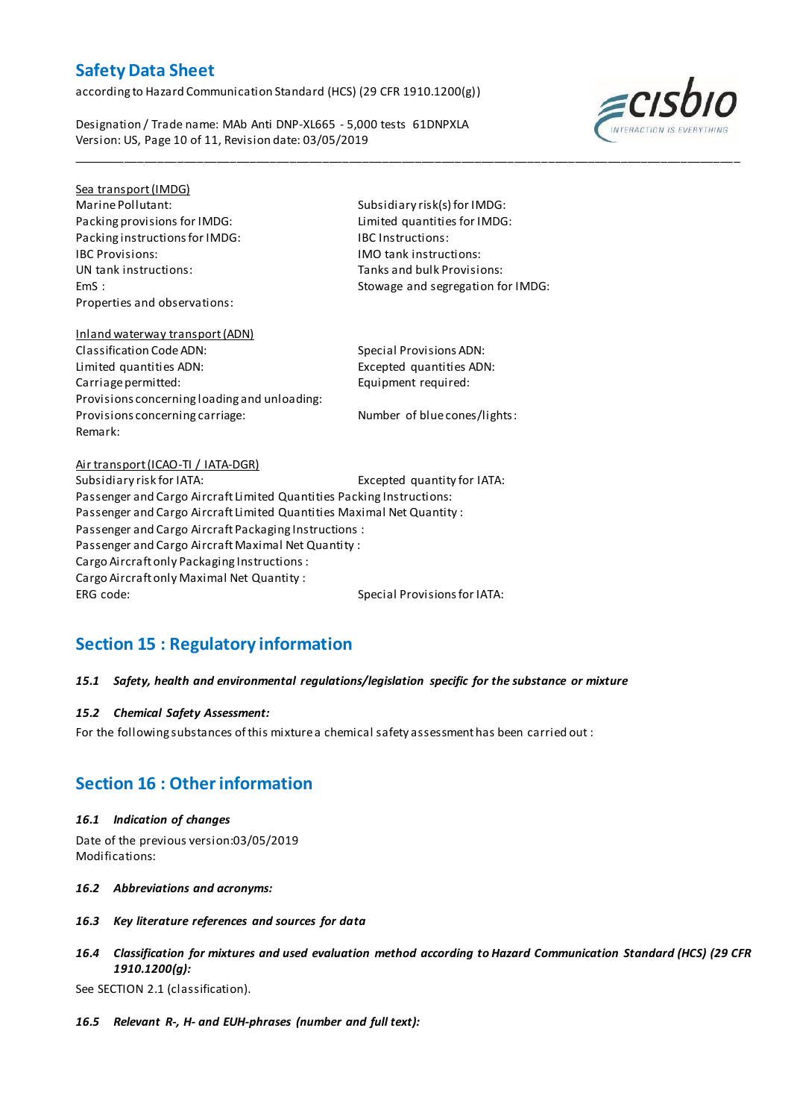according to Hazard Communication Standard (HCS) (29 CFR 1910.1200(g))

Designation / Trade name: MAb Anti DNP-XL665 - 5,000 tests 61DNPXLA Version: US, Page 10 of 11, Revision date: 03/05/2019



## Sea transport (IMDG)

Marine Pollutant: Subsidiary risk(s) for IMDG: Packing provisions for IMDG: Limited quantities for IMDG: Packing instructions for IMDG: IBC Instructions: IBC Provisions: IMO tank instructions: Properties and observations:

Tanks and bulk Provisions: EmS : Stowage and segregation for IMDG:

\_\_\_\_\_\_\_\_\_\_\_\_\_\_\_\_\_\_\_\_\_\_\_\_\_\_\_\_\_\_\_\_\_\_\_\_\_\_\_\_\_\_\_\_\_\_\_\_\_\_\_\_\_\_\_\_\_\_\_\_\_\_\_\_\_\_\_\_\_\_\_\_\_\_\_\_\_\_\_\_\_\_\_\_\_\_\_\_\_\_\_\_\_\_\_\_\_\_\_\_\_

## Inland waterway transport (ADN) Classification Code ADN: Special Provisions ADN: Limited quantities ADN: Excepted quantities ADN: Carriage permitted: Equipment required: Provisions concerning loading and unloading: Provisions concerning carriage: Number of blue cones/lights: Remark:

## Air transport (ICAO-TI / IATA-DGR) Subsidiary risk for IATA: Excepted quantity for IATA: Passenger and Cargo Aircraft Limited Quantities Packing Instructions: Passenger and Cargo Aircraft Limited Quantities Maximal Net Quantity : Passenger and Cargo Aircraft Packaging Instructions : Passenger and Cargo Aircraft Maximal Net Quantity : Cargo Aircraft only Packaging Instructions : Cargo Aircraft only Maximal Net Quantity : ERG code: Special Provisions for IATA:

# **Section 15 : Regulatory information**

## *15.1 Safety, health and environmental regulations/legislation specific for the substance or mixture*

## *15.2 Chemical Safety Assessment:*

For the following substances of this mixture a chemical safety assessment has been carried out :

# **Section 16 : Other information**

### *16.1 Indication of changes*

Date of the previous version:03/05/2019 Modifications:

- *16.2 Abbreviations and acronyms:*
- *16.3 Key literature references and sources for data*
- *16.4 Classification for mixtures and used evaluation method according to Hazard Communication Standard (HCS) (29 CFR 1910.1200(g):*

See SECTION 2.1 (classification).

*16.5 Relevant R-, H- and EUH-phrases (number and full text):*